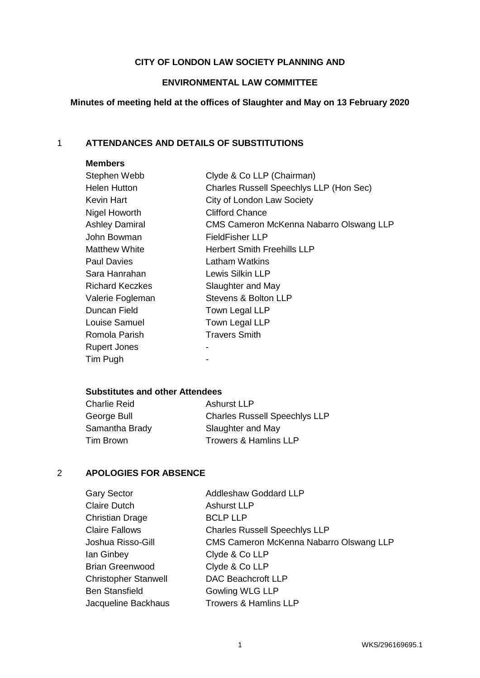## **CITY OF LONDON LAW SOCIETY PLANNING AND**

## **ENVIRONMENTAL LAW COMMITTEE**

# **Minutes of meeting held at the offices of Slaughter and May on 13 February 2020**

## 1 **ATTENDANCES AND DETAILS OF SUBSTITUTIONS**

## **Members**

| Stephen Webb           | Clyde & Co LLP (Chairman)               |
|------------------------|-----------------------------------------|
| <b>Helen Hutton</b>    | Charles Russell Speechlys LLP (Hon Sec) |
| Kevin Hart             | City of London Law Society              |
| Nigel Howorth          | <b>Clifford Chance</b>                  |
| <b>Ashley Damiral</b>  | CMS Cameron McKenna Nabarro Olswang LLP |
| John Bowman            | FieldFisher LLP                         |
| <b>Matthew White</b>   | <b>Herbert Smith Freehills LLP</b>      |
| <b>Paul Davies</b>     | Latham Watkins                          |
| Sara Hanrahan          | Lewis Silkin LLP                        |
| <b>Richard Keczkes</b> | Slaughter and May                       |
| Valerie Fogleman       | Stevens & Bolton LLP                    |
| Duncan Field           | Town Legal LLP                          |
| Louise Samuel          | Town Legal LLP                          |
| Romola Parish          | <b>Travers Smith</b>                    |
| <b>Rupert Jones</b>    |                                         |
| Tim Pugh               |                                         |
|                        |                                         |

### **Substitutes and other Attendees**

| <b>Charlie Reid</b> | Ashurst LLP                          |
|---------------------|--------------------------------------|
| George Bull         | <b>Charles Russell Speechlys LLP</b> |
| Samantha Brady      | Slaughter and May                    |
| Tim Brown           | <b>Trowers &amp; Hamlins LLP</b>     |

## 2 **APOLOGIES FOR ABSENCE**

| <b>Gary Sector</b>          | <b>Addleshaw Goddard LLP</b>            |
|-----------------------------|-----------------------------------------|
| <b>Claire Dutch</b>         | <b>Ashurst LLP</b>                      |
| <b>Christian Drage</b>      | <b>BCLP LLP</b>                         |
| <b>Claire Fallows</b>       | <b>Charles Russell Speechlys LLP</b>    |
| Joshua Risso-Gill           | CMS Cameron McKenna Nabarro Olswang LLP |
| lan Ginbey                  | Clyde & Co LLP                          |
| <b>Brian Greenwood</b>      | Clyde & Co LLP                          |
| <b>Christopher Stanwell</b> | DAC Beachcroft LLP                      |
| <b>Ben Stansfield</b>       | <b>Gowling WLG LLP</b>                  |
| Jacqueline Backhaus         | <b>Trowers &amp; Hamlins LLP</b>        |
|                             |                                         |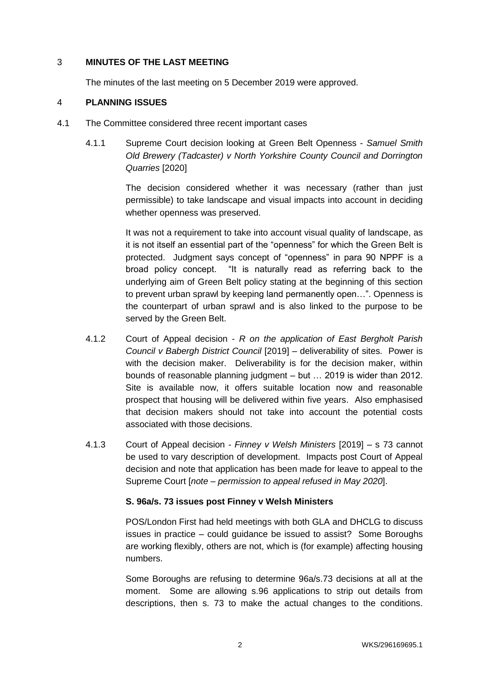## 3 **MINUTES OF THE LAST MEETING**

The minutes of the last meeting on 5 December 2019 were approved.

## 4 **PLANNING ISSUES**

- 4.1 The Committee considered three recent important cases
	- 4.1.1 Supreme Court decision looking at Green Belt Openness *Samuel Smith Old Brewery (Tadcaster) v North Yorkshire County Council and Dorrington Quarries* [2020]

The decision considered whether it was necessary (rather than just permissible) to take landscape and visual impacts into account in deciding whether openness was preserved.

It was not a requirement to take into account visual quality of landscape, as it is not itself an essential part of the "openness" for which the Green Belt is protected. Judgment says concept of "openness" in para 90 NPPF is a broad policy concept. "It is naturally read as referring back to the underlying aim of Green Belt policy stating at the beginning of this section to prevent urban sprawl by keeping land permanently open…". Openness is the counterpart of urban sprawl and is also linked to the purpose to be served by the Green Belt.

- 4.1.2 Court of Appeal decision *R on the application of East Bergholt Parish Council v Babergh District Council* [2019] – deliverability of sites. Power is with the decision maker. Deliverability is for the decision maker, within bounds of reasonable planning judgment – but … 2019 is wider than 2012. Site is available now, it offers suitable location now and reasonable prospect that housing will be delivered within five years. Also emphasised that decision makers should not take into account the potential costs associated with those decisions.
- 4.1.3 Court of Appeal decision *- Finney v Welsh Ministers* [2019] s 73 cannot be used to vary description of development. Impacts post Court of Appeal decision and note that application has been made for leave to appeal to the Supreme Court [*note – permission to appeal refused in May 2020*].

## **S. 96a/s. 73 issues post Finney v Welsh Ministers**

POS/London First had held meetings with both GLA and DHCLG to discuss issues in practice – could guidance be issued to assist? Some Boroughs are working flexibly, others are not, which is (for example) affecting housing numbers.

Some Boroughs are refusing to determine 96a/s.73 decisions at all at the moment. Some are allowing s.96 applications to strip out details from descriptions, then s. 73 to make the actual changes to the conditions.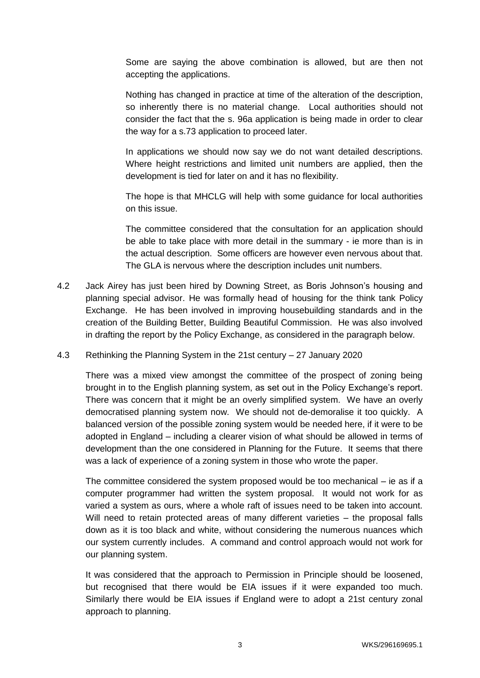Some are saying the above combination is allowed, but are then not accepting the applications.

Nothing has changed in practice at time of the alteration of the description, so inherently there is no material change. Local authorities should not consider the fact that the s. 96a application is being made in order to clear the way for a s.73 application to proceed later.

In applications we should now say we do not want detailed descriptions. Where height restrictions and limited unit numbers are applied, then the development is tied for later on and it has no flexibility.

The hope is that MHCLG will help with some guidance for local authorities on this issue.

The committee considered that the consultation for an application should be able to take place with more detail in the summary - ie more than is in the actual description. Some officers are however even nervous about that. The GLA is nervous where the description includes unit numbers.

- 4.2 Jack Airey has just been hired by Downing Street, as Boris Johnson's housing and planning special advisor. He was formally head of housing for the think tank Policy Exchange. He has been involved in improving housebuilding standards and in the creation of the Building Better, Building Beautiful Commission. He was also involved in drafting the report by the Policy Exchange, as considered in the paragraph below.
- 4.3 Rethinking the Planning System in the 21st century 27 January 2020

There was a mixed view amongst the committee of the prospect of zoning being brought in to the English planning system, as set out in the Policy Exchange's report. There was concern that it might be an overly simplified system. We have an overly democratised planning system now. We should not de-demoralise it too quickly. A balanced version of the possible zoning system would be needed here, if it were to be adopted in England – including a clearer vision of what should be allowed in terms of development than the one considered in Planning for the Future. It seems that there was a lack of experience of a zoning system in those who wrote the paper.

The committee considered the system proposed would be too mechanical – ie as if a computer programmer had written the system proposal. It would not work for as varied a system as ours, where a whole raft of issues need to be taken into account. Will need to retain protected areas of many different varieties – the proposal falls down as it is too black and white, without considering the numerous nuances which our system currently includes. A command and control approach would not work for our planning system.

It was considered that the approach to Permission in Principle should be loosened, but recognised that there would be EIA issues if it were expanded too much. Similarly there would be EIA issues if England were to adopt a 21st century zonal approach to planning.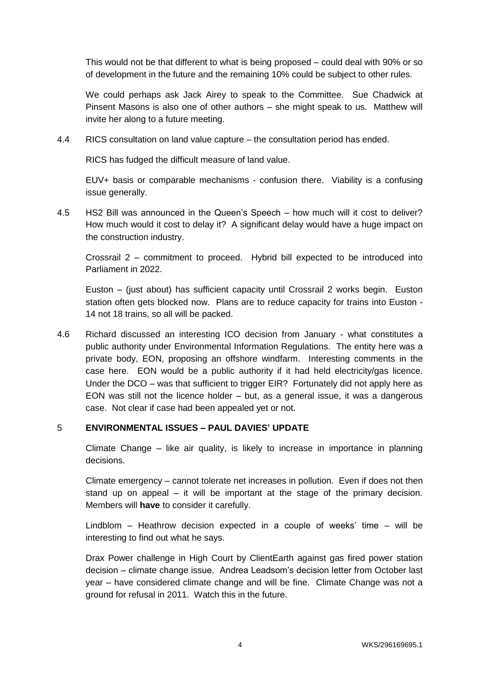This would not be that different to what is being proposed – could deal with 90% or so of development in the future and the remaining 10% could be subject to other rules.

We could perhaps ask Jack Airey to speak to the Committee. Sue Chadwick at Pinsent Masons is also one of other authors – she might speak to us. Matthew will invite her along to a future meeting.

4.4 RICS consultation on land value capture – the consultation period has ended.

RICS has fudged the difficult measure of land value.

EUV+ basis or comparable mechanisms - confusion there. Viability is a confusing issue generally.

4.5 HS2 Bill was announced in the Queen's Speech – how much will it cost to deliver? How much would it cost to delay it? A significant delay would have a huge impact on the construction industry.

Crossrail 2 – commitment to proceed. Hybrid bill expected to be introduced into Parliament in 2022.

Euston – (just about) has sufficient capacity until Crossrail 2 works begin. Euston station often gets blocked now. Plans are to reduce capacity for trains into Euston - 14 not 18 trains, so all will be packed.

4.6 Richard discussed an interesting ICO decision from January - what constitutes a public authority under Environmental Information Regulations. The entity here was a private body, EON, proposing an offshore windfarm. Interesting comments in the case here. EON would be a public authority if it had held electricity/gas licence. Under the DCO – was that sufficient to trigger EIR? Fortunately did not apply here as EON was still not the licence holder – but, as a general issue, it was a dangerous case. Not clear if case had been appealed yet or not.

## 5 **ENVIRONMENTAL ISSUES – PAUL DAVIES' UPDATE**

Climate Change – like air quality, is likely to increase in importance in planning decisions.

Climate emergency – cannot tolerate net increases in pollution. Even if does not then stand up on appeal – it will be important at the stage of the primary decision. Members will **have** to consider it carefully.

Lindblom – Heathrow decision expected in a couple of weeks' time – will be interesting to find out what he says.

Drax Power challenge in High Court by ClientEarth against gas fired power station decision – climate change issue. Andrea Leadsom's decision letter from October last year – have considered climate change and will be fine. Climate Change was not a ground for refusal in 2011. Watch this in the future.